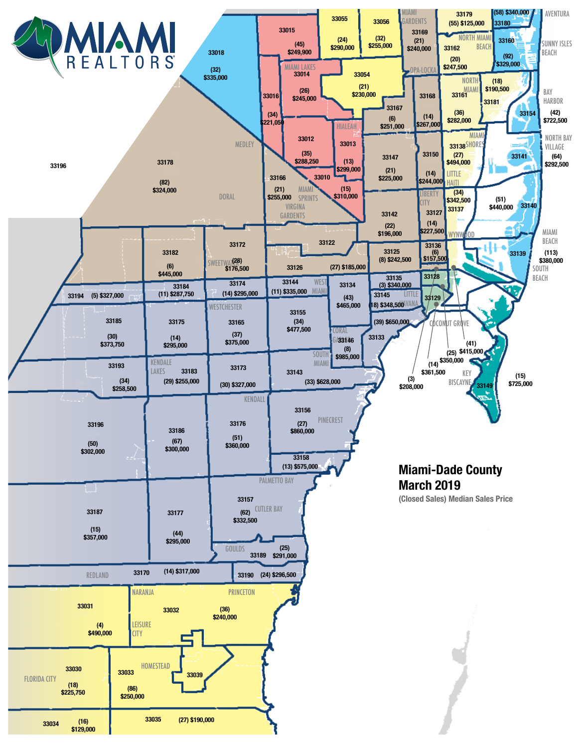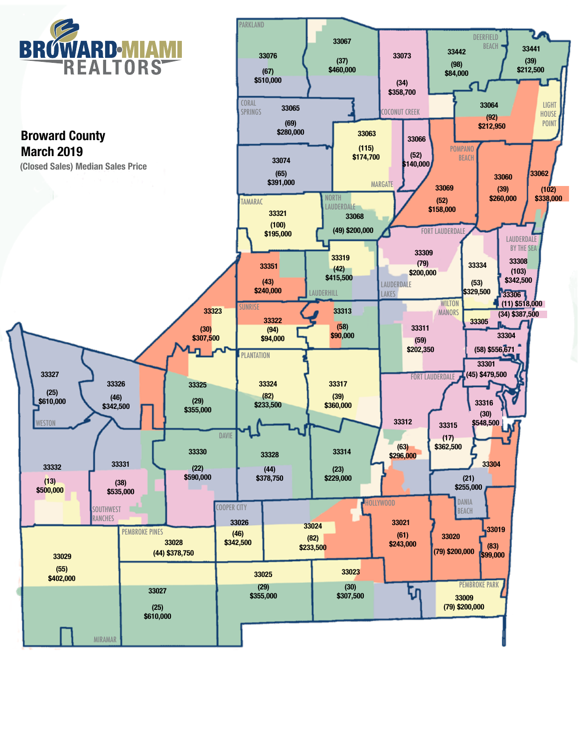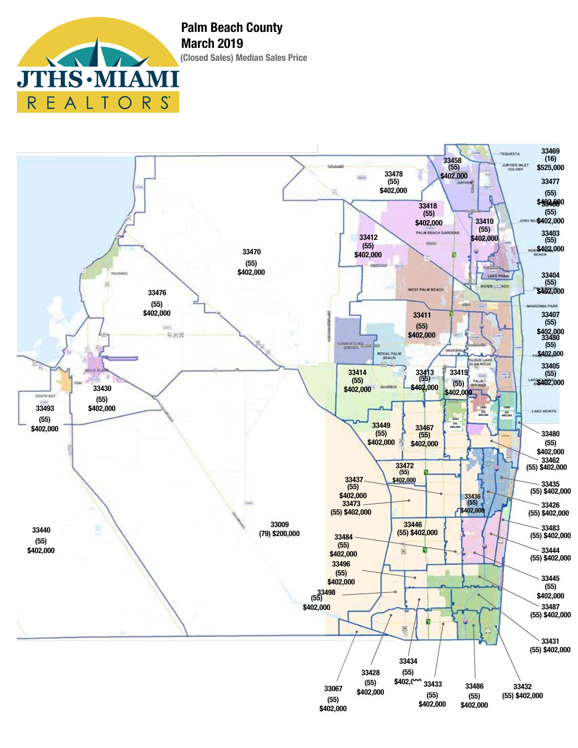

**(Closed Sales) Median Sales Price Palm Beach County March 2019**